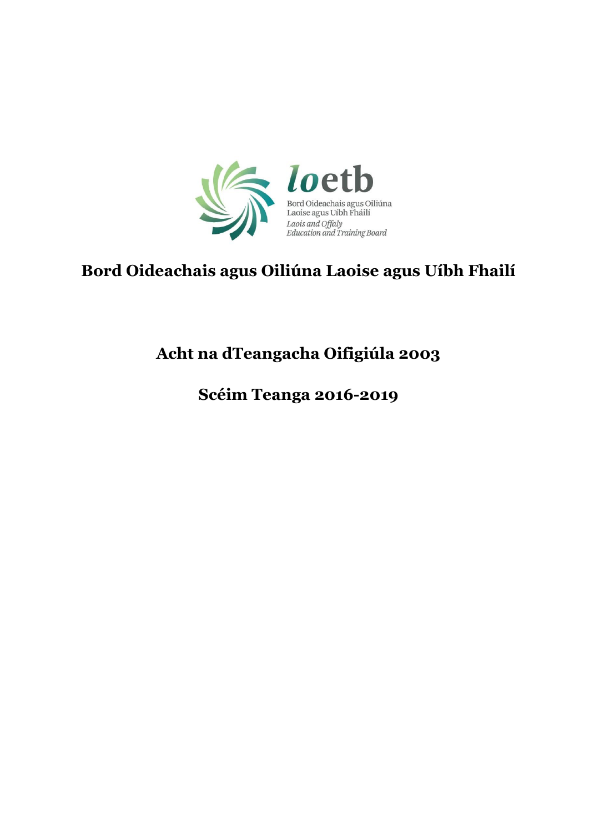

# **Bord Oideachais agus Oiliúna Laoise agus Uíbh Fhailí**

# **Acht na dTeangacha Oifigiúla 2003**

**Scéim Teanga 2016-2019**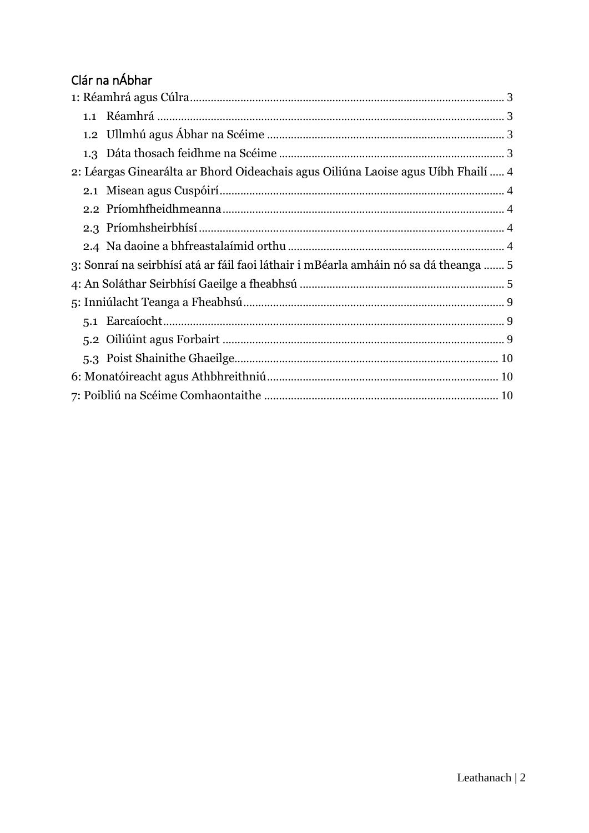# Clár na nÁbhar

| 2: Léargas Ginearálta ar Bhord Oideachais agus Oiliúna Laoise agus Uíbh Fhailí  4    |
|--------------------------------------------------------------------------------------|
|                                                                                      |
|                                                                                      |
|                                                                                      |
|                                                                                      |
| 3: Sonraí na seirbhísí atá ar fáil faoi láthair i mBéarla amháin nó sa dá theanga  5 |
|                                                                                      |
|                                                                                      |
|                                                                                      |
|                                                                                      |
|                                                                                      |
|                                                                                      |
|                                                                                      |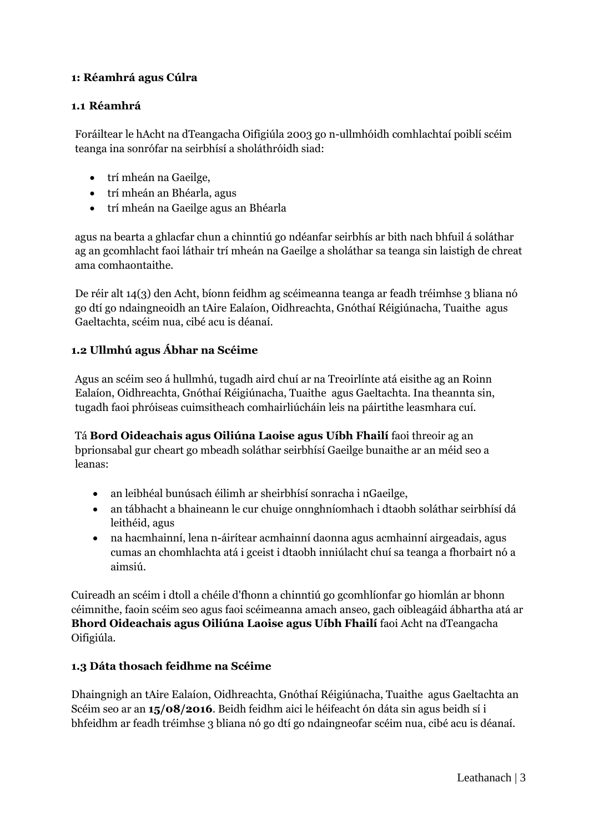#### <span id="page-2-0"></span>**1: Réamhrá agus Cúlra**

#### <span id="page-2-1"></span>**1.1 Réamhrá**

Foráiltear le hAcht na dTeangacha Oifigiúla 2003 go n-ullmhóidh comhlachtaí poiblí scéim teanga ina sonrófar na seirbhísí a sholáthróidh siad:

- trí mheán na Gaeilge,
- trí mheán an Bhéarla, agus
- trí mheán na Gaeilge agus an Bhéarla

agus na bearta a ghlacfar chun a chinntiú go ndéanfar seirbhís ar bith nach bhfuil á soláthar ag an gcomhlacht faoi láthair trí mheán na Gaeilge a sholáthar sa teanga sin laistigh de chreat ama comhaontaithe.

De réir alt 14(3) den Acht, bíonn feidhm ag scéimeanna teanga ar feadh tréimhse 3 bliana nó go dtí go ndaingneoidh an tAire Ealaíon, Oidhreachta, Gnóthaí Réigiúnacha, Tuaithe agus Gaeltachta, scéim nua, cibé acu is déanaí.

#### <span id="page-2-2"></span>**1.2 Ullmhú agus Ábhar na Scéime**

Agus an scéim seo á hullmhú, tugadh aird chuí ar na Treoirlínte atá eisithe ag an Roinn Ealaíon, Oidhreachta, Gnóthaí Réigiúnacha, Tuaithe agus Gaeltachta. Ina theannta sin, tugadh faoi phróiseas cuimsitheach comhairliúcháin leis na páirtithe leasmhara cuí.

Tá **Bord Oideachais agus Oiliúna Laoise agus Uíbh Fhailí** faoi threoir ag an bprionsabal gur cheart go mbeadh soláthar seirbhísí Gaeilge bunaithe ar an méid seo a leanas:

- an leibhéal bunúsach éilimh ar sheirbhísí sonracha i nGaeilge,
- an tábhacht a bhaineann le cur chuige onnghníomhach i dtaobh soláthar seirbhísí dá leithéid, agus
- na hacmhainní, lena n-áirítear acmhainní daonna agus acmhainní airgeadais, agus cumas an chomhlachta atá i gceist i dtaobh inniúlacht chuí sa teanga a fhorbairt nó a aimsiú.

Cuireadh an scéim i dtoll a chéile d'fhonn a chinntiú go gcomhlíonfar go hiomlán ar bhonn céimnithe, faoin scéim seo agus faoi scéimeanna amach anseo, gach oibleagáid ábhartha atá ar **Bhord Oideachais agus Oiliúna Laoise agus Uíbh Fhailí** faoi Acht na dTeangacha Oifigiúla.

#### <span id="page-2-3"></span>**1.3 Dáta thosach feidhme na Scéime**

Dhaingnigh an tAire Ealaíon, Oidhreachta, Gnóthaí Réigiúnacha, Tuaithe agus Gaeltachta an Scéim seo ar an **15/08/2016**. Beidh feidhm aici le héifeacht ón dáta sin agus beidh sí i bhfeidhm ar feadh tréimhse 3 bliana nó go dtí go ndaingneofar scéim nua, cibé acu is déanaí.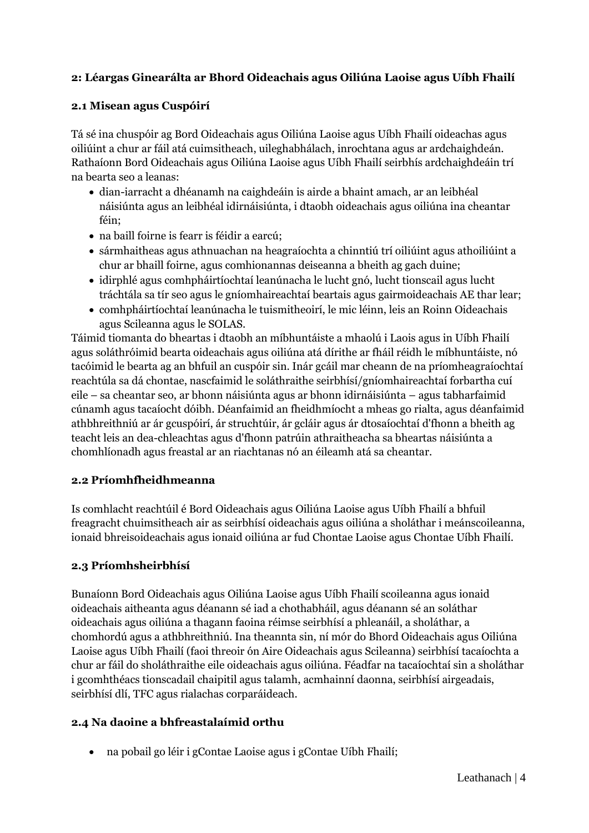# <span id="page-3-0"></span>**2: Léargas Ginearálta ar Bhord Oideachais agus Oiliúna Laoise agus Uíbh Fhailí**

#### <span id="page-3-1"></span>**2.1 Misean agus Cuspóirí**

Tá sé ina chuspóir ag Bord Oideachais agus Oiliúna Laoise agus Uíbh Fhailí oideachas agus oiliúint a chur ar fáil atá cuimsitheach, uileghabhálach, inrochtana agus ar ardchaighdeán. Rathaíonn Bord Oideachais agus Oiliúna Laoise agus Uíbh Fhailí seirbhís ardchaighdeáin trí na bearta seo a leanas:

- dian-iarracht a dhéanamh na caighdeáin is airde a bhaint amach, ar an leibhéal náisiúnta agus an leibhéal idirnáisiúnta, i dtaobh oideachais agus oiliúna ina cheantar féin;
- na baill foirne is fearr is féidir a earcú;
- sármhaitheas agus athnuachan na heagraíochta a chinntiú trí oiliúint agus athoiliúint a chur ar bhaill foirne, agus comhionannas deiseanna a bheith ag gach duine;
- idirphlé agus comhpháirtíochtaí leanúnacha le lucht gnó, lucht tionscail agus lucht tráchtála sa tír seo agus le gníomhaireachtaí beartais agus gairmoideachais AE thar lear;
- comhpháirtíochtaí leanúnacha le tuismitheoirí, le mic léinn, leis an Roinn Oideachais agus Scileanna agus le SOLAS.

Táimid tiomanta do bheartas i dtaobh an míbhuntáiste a mhaolú i Laois agus in Uíbh Fhailí agus soláthróimid bearta oideachais agus oiliúna atá dírithe ar fháil réidh le míbhuntáiste, nó tacóimid le bearta ag an bhfuil an cuspóir sin. Inár gcáil mar cheann de na príomheagraíochtaí reachtúla sa dá chontae, nascfaimid le soláthraithe seirbhísí/gníomhaireachtaí forbartha cuí eile – sa cheantar seo, ar bhonn náisiúnta agus ar bhonn idirnáisiúnta – agus tabharfaimid cúnamh agus tacaíocht dóibh. Déanfaimid an fheidhmíocht a mheas go rialta, agus déanfaimid athbhreithniú ar ár gcuspóirí, ár struchtúir, ár gcláir agus ár dtosaíochtaí d'fhonn a bheith ag teacht leis an dea-chleachtas agus d'fhonn patrúin athraitheacha sa bheartas náisiúnta a chomhlíonadh agus freastal ar an riachtanas nó an éileamh atá sa cheantar.

#### <span id="page-3-2"></span>**2.2 Príomhfheidhmeanna**

Is comhlacht reachtúil é Bord Oideachais agus Oiliúna Laoise agus Uíbh Fhailí a bhfuil freagracht chuimsitheach air as seirbhísí oideachais agus oiliúna a sholáthar i meánscoileanna, ionaid bhreisoideachais agus ionaid oiliúna ar fud Chontae Laoise agus Chontae Uíbh Fhailí.

#### <span id="page-3-3"></span>**2.3 Príomhsheirbhísí**

Bunaíonn Bord Oideachais agus Oiliúna Laoise agus Uíbh Fhailí scoileanna agus ionaid oideachais aitheanta agus déanann sé iad a chothabháil, agus déanann sé an soláthar oideachais agus oiliúna a thagann faoina réimse seirbhísí a phleanáil, a sholáthar, a chomhordú agus a athbhreithniú. Ina theannta sin, ní mór do Bhord Oideachais agus Oiliúna Laoise agus Uíbh Fhailí (faoi threoir ón Aire Oideachais agus Scileanna) seirbhísí tacaíochta a chur ar fáil do sholáthraithe eile oideachais agus oiliúna. Féadfar na tacaíochtaí sin a sholáthar i gcomhthéacs tionscadail chaipitil agus talamh, acmhainní daonna, seirbhísí airgeadais, seirbhísí dlí, TFC agus rialachas corparáideach.

#### <span id="page-3-4"></span>**2.4 Na daoine a bhfreastalaímid orthu**

na pobail go léir i gContae Laoise agus i gContae Uíbh Fhailí;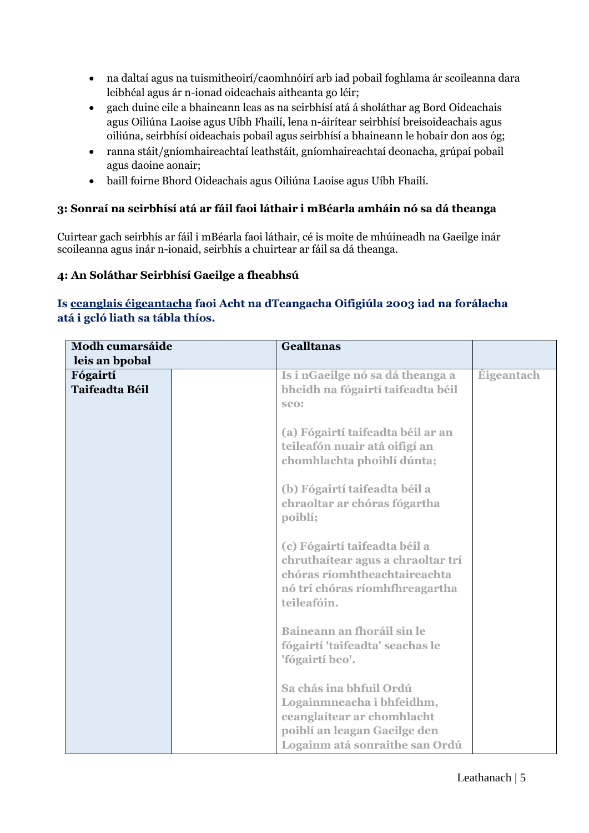- na daltaí agus na tuismitheoirí/caomhnóirí arb iad pobail foghlama ár scoileanna dara leibhéal agus ár n-ionad oideachais aitheanta go léir;
- gach duine eile a bhaineann leas as na seirbhísí atá á sholáthar ag Bord Oideachais agus Oiliúna Laoise agus Uíbh Fhailí, lena n-áirítear seirbhísí breisoideachais agus oiliúna, seirbhísí oideachais pobail agus seirbhísí a bhaineann le hobair don aos óg;
- ranna stáit/gníomhaireachtaí leathstáit, gníomhaireachtaí deonacha, grúpaí pobail agus daoine aonair;
- baill foirne Bhord Oideachais agus Oiliúna Laoise agus Uíbh Fhailí.

#### <span id="page-4-0"></span>**3: Sonraí na seirbhísí atá ar fáil faoi láthair i mBéarla amháin nó sa dá theanga**

Cuirtear gach seirbhís ar fáil i mBéarla faoi láthair, cé is moite de mhúineadh na Gaeilge inár scoileanna agus inár n-ionaid, seirbhís a chuirtear ar fáil sa dá theanga.

#### <span id="page-4-1"></span>**4: An Soláthar Seirbhísí Gaeilge a fheabhsú**

# **Is ceanglais éigeantacha faoi Acht na dTeangacha Oifigiúla 2003 iad na forálacha atá i gcló liath sa tábla thíos.**

| <b>Modh cumarsáide</b>            | <b>Gealltanas</b>                                                                                                                                    |            |
|-----------------------------------|------------------------------------------------------------------------------------------------------------------------------------------------------|------------|
| leis an bpobal                    |                                                                                                                                                      |            |
| Fógairtí<br><b>Taifeadta Béil</b> | Is i nGaeilge nó sa dá theanga a<br>bheidh na fógairtí taifeadta béil<br>seo:                                                                        | Éigeantach |
|                                   | (a) Fógairtí taifeadta béil ar an<br>teileafón nuair atá oifigí an<br>chomhlachta phoiblí dúnta;                                                     |            |
|                                   | (b) Fógairtí taifeadta béil a<br>chraoltar ar chóras fógartha<br>poiblí;                                                                             |            |
|                                   | (c) Fógairtí taifeadta béil a<br>chruthaítear agus a chraoltar trí<br>chóras ríomhtheachtaireachta<br>nó trí chóras ríomhfhreagartha<br>teileafóin.  |            |
|                                   | Baineann an fhoráil sin le<br>fógairtí 'taifeadta' seachas le<br>'fógairtí beo'.                                                                     |            |
|                                   | Sa chás ina bhfuil Ordú<br>Logainmneacha i bhfeidhm,<br>ceanglaítear ar chomhlacht<br>poiblí an leagan Gaeilge den<br>Logainm atá sonraithe san Ordú |            |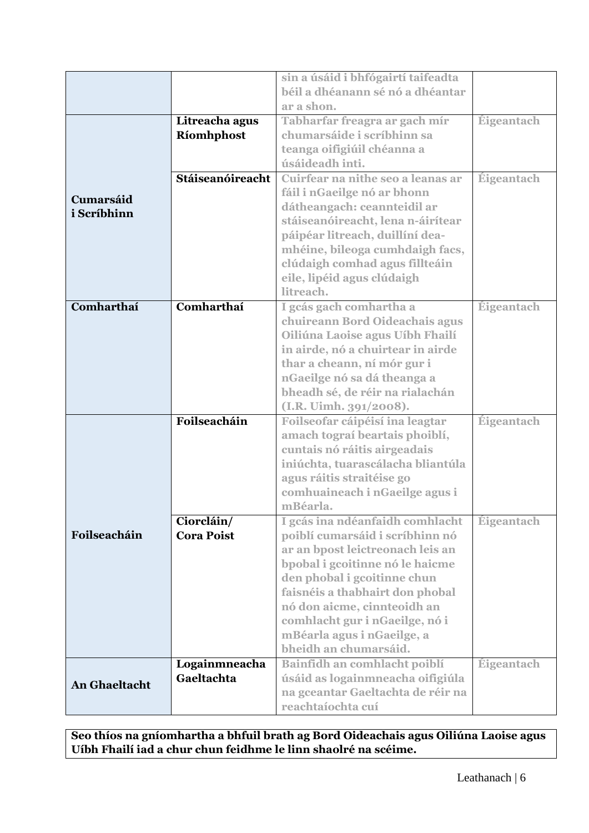|                                                                   |                             | sin a úsáid i bhfógairtí taifeadta |                   |
|-------------------------------------------------------------------|-----------------------------|------------------------------------|-------------------|
|                                                                   |                             | béil a dhéanann sé nó a dhéantar   |                   |
|                                                                   |                             | ar a shon.                         |                   |
|                                                                   | Litreacha agus              | Tabharfar freagra ar gach mír      | Éigeantach        |
|                                                                   |                             | chumarsáide i scríbhinn sa         |                   |
|                                                                   | Ríomhphost                  |                                    |                   |
|                                                                   |                             | teanga oifigiúil chéanna a         |                   |
|                                                                   |                             | úsáideadh inti.                    |                   |
|                                                                   | Stáiseanóireacht            | Cuirfear na nithe seo a leanas ar  | <b>Éigeantach</b> |
| Cumarsáid                                                         |                             | fáil i nGaeilge nó ar bhonn        |                   |
| i Scríbhinn                                                       |                             | dátheangach: ceannteidil ar        |                   |
|                                                                   |                             | stáiseanóireacht, lena n-áirítear  |                   |
|                                                                   |                             | páipéar litreach, duillíní dea-    |                   |
|                                                                   |                             | mhéine, bileoga cumhdaigh facs,    |                   |
|                                                                   |                             | clúdaigh comhad agus fillteáin     |                   |
|                                                                   |                             | eile, lipéid agus clúdaigh         |                   |
|                                                                   |                             | litreach.                          |                   |
| Comharthaí                                                        | Comharthaí                  | I gcás gach comhartha a            | Éigeantach        |
| chuireann Bord Oideachais agus<br>Oiliúna Laoise agus Uíbh Fhailí |                             |                                    |                   |
|                                                                   |                             |                                    |                   |
|                                                                   |                             | in airde, nó a chuirtear in airde  |                   |
|                                                                   |                             | thar a cheann, ní mór gur i        |                   |
|                                                                   |                             | nGaeilge nó sa dá theanga a        |                   |
|                                                                   |                             | bheadh sé, de réir na rialachán    |                   |
|                                                                   |                             | (I.R. Uimh. 391/2008).             |                   |
|                                                                   | Foilseacháin                | Foilseofar cáipéisí ina leagtar    | Éigeantach        |
|                                                                   |                             | amach tograí beartais phoiblí,     |                   |
|                                                                   |                             | cuntais nó ráitis airgeadais       |                   |
|                                                                   |                             | iniúchta, tuarascálacha bliantúla  |                   |
|                                                                   |                             | agus ráitis straitéise go          |                   |
|                                                                   |                             | comhuaineach i nGaeilge agus i     |                   |
|                                                                   |                             | mBéarla.                           |                   |
|                                                                   | Ciorcláin/                  | I gcás ina ndéanfaidh comhlacht    | Éigeantach        |
| Foilseacháin                                                      | <b>Cora Poist</b>           | poiblí cumarsáid i scríbhinn nó    |                   |
|                                                                   |                             | ar an bpost leictreonach leis an   |                   |
|                                                                   |                             | bpobal i gcoitinne nó le haicme    |                   |
|                                                                   |                             | den phobal i gcoitinne chun        |                   |
|                                                                   |                             | faisnéis a thabhairt don phobal    |                   |
|                                                                   |                             | nó don aicme, cinnteoidh an        |                   |
|                                                                   |                             | comhlacht gur i nGaeilge, nó i     |                   |
|                                                                   |                             | mBéarla agus i nGaeilge, a         |                   |
|                                                                   |                             | bheidh an chumarsáid.              |                   |
|                                                                   |                             |                                    | Éigeantach        |
|                                                                   | Logainmneacha<br>Gaeltachta | Bainfidh an comhlacht poiblí       |                   |
| <b>An Ghaeltacht</b>                                              |                             | úsáid as logainmneacha oifigiúla   |                   |
|                                                                   |                             | na gceantar Gaeltachta de réir na  |                   |
|                                                                   |                             | reachtaíochta cuí                  |                   |

**Seo thíos na gníomhartha a bhfuil brath ag Bord Oideachais agus Oiliúna Laoise agus Uíbh Fhailí iad a chur chun feidhme le linn shaolré na scéime.**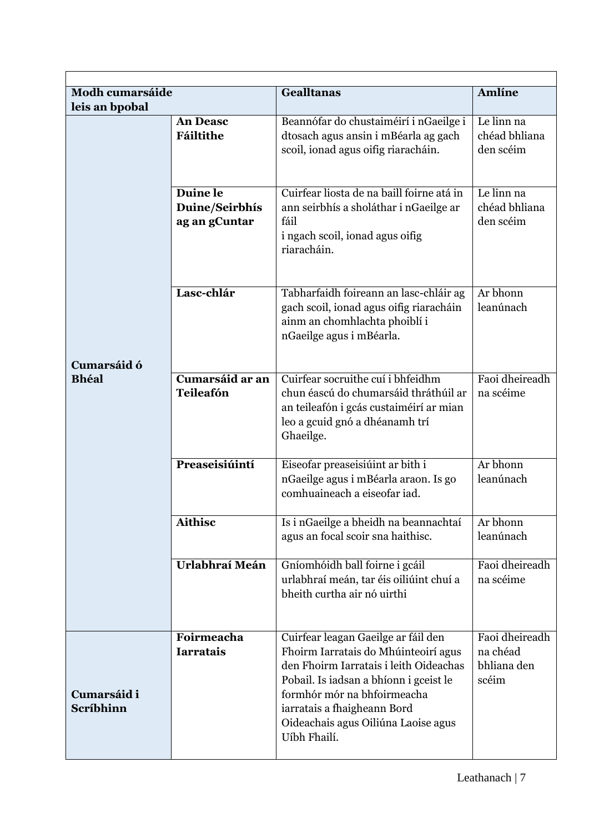| <b>Modh cumarsáide</b>   |                                             | <b>Gealltanas</b>                                                                                                                                                                                                                                                                    | <b>Amlíne</b>                                      |
|--------------------------|---------------------------------------------|--------------------------------------------------------------------------------------------------------------------------------------------------------------------------------------------------------------------------------------------------------------------------------------|----------------------------------------------------|
| leis an bpobal           |                                             |                                                                                                                                                                                                                                                                                      |                                                    |
|                          | <b>An Deasc</b><br>Fáiltithe                | Beannófar do chustaiméirí i nGaeilge i<br>dtosach agus ansin i mBéarla ag gach<br>scoil, ionad agus oifig riaracháin.                                                                                                                                                                | Le linn na<br>chéad bhliana<br>den scéim           |
|                          | Duine le<br>Duine/Seirbhís<br>ag an gCuntar | Cuirfear liosta de na baill foirne atá in<br>ann seirbhís a sholáthar i nGaeilge ar<br>fáil<br>i ngach scoil, ionad agus oifig<br>riaracháin.                                                                                                                                        | Le $limn$<br>chéad bhliana<br>den scéim            |
| Cumarsáid ó              | Lasc-chlár                                  | Tabharfaidh foireann an lasc-chláir ag<br>gach scoil, ionad agus oifig riaracháin<br>ainm an chomhlachta phoiblí i<br>nGaeilge agus i mBéarla.                                                                                                                                       | Ar bhonn<br>leanúnach                              |
| <b>Bhéal</b>             | Cumarsáid ar an<br><b>Teileafón</b>         | Cuirfear socruithe cuí i bhfeidhm<br>chun éascú do chumarsáid thráthúil ar<br>an teileafón i gcás custaiméirí ar mian<br>leo a gcuid gnó a dhéanamh trí<br>Ghaeilge.                                                                                                                 | Faoi dheireadh<br>na scéime                        |
|                          | Preaseisiúintí                              | Eiseofar preaseisiúint ar bith i<br>nGaeilge agus i mBéarla araon. Is go<br>comhuaineach a eiseofar iad.                                                                                                                                                                             | Ar bhonn<br>leanúnach                              |
|                          | <b>Aithisc</b>                              | Is i nGaeilge a bheidh na beannachtaí<br>agus an focal scoir sna haithisc.                                                                                                                                                                                                           | Ar bhonn<br>leanúnach                              |
|                          | Urlabhraí Meán                              | Gníomhóidh ball foirne i gcáil<br>urlabhraí meán, tar éis oiliúint chuí a<br>bheith curtha air nó uirthi                                                                                                                                                                             | Faoi dheireadh<br>na scéime                        |
| Cumarsáid i<br>Scríbhinn | Foirmeacha<br><b>Iarratais</b>              | Cuirfear leagan Gaeilge ar fáil den<br>Fhoirm Iarratais do Mhúinteoirí agus<br>den Fhoirm Iarratais i leith Oideachas<br>Pobail. Is iadsan a bhíonn i gceist le<br>formhór mór na bhfoirmeacha<br>iarratais a fhaigheann Bord<br>Oideachais agus Oiliúna Laoise agus<br>Uíbh Fhailí. | Faoi dheireadh<br>na chéad<br>bhliana den<br>scéim |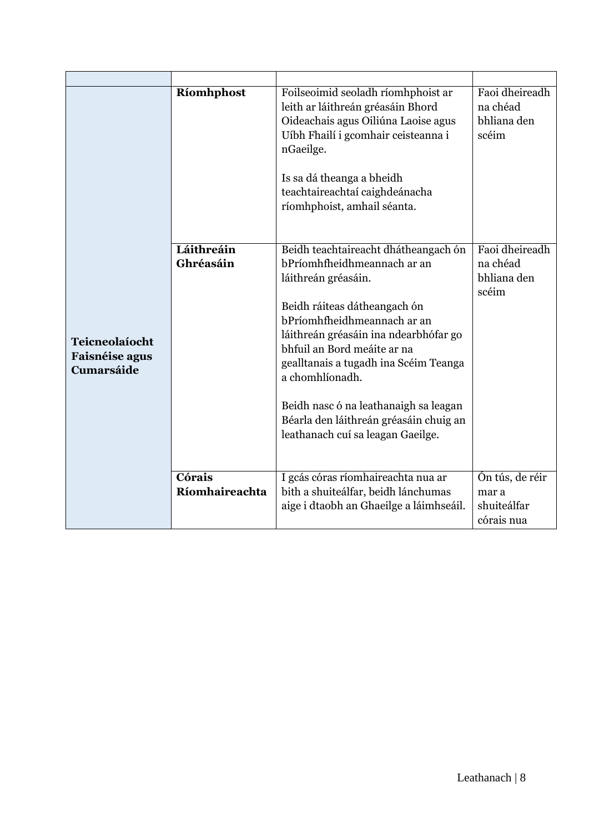|                                                              | Ríomhphost               | Foilseoimid seoladh ríomhphoist ar<br>leith ar láithreán gréasáin Bhord<br>Oideachais agus Oiliúna Laoise agus<br>Uíbh Fhailí i gcomhair ceisteanna i<br>nGaeilge.<br>Is sa dá theanga a bheidh<br>teachtaireachtaí caighdeánacha<br>ríomhphoist, amhail séanta.                                                                                                                                                      | Faoi dheireadh<br>na chéad<br>bhliana den<br>scéim    |
|--------------------------------------------------------------|--------------------------|-----------------------------------------------------------------------------------------------------------------------------------------------------------------------------------------------------------------------------------------------------------------------------------------------------------------------------------------------------------------------------------------------------------------------|-------------------------------------------------------|
| Teicneolaíocht<br><b>Faisnéise agus</b><br><b>Cumarsáide</b> | Láithreáin<br>Ghréasáin  | Beidh teachtaireacht dhátheangach ón<br>bPríomhfheidhmeannach ar an<br>láithreán gréasáin.<br>Beidh ráiteas dátheangach ón<br>bPríomhfheidhmeannach ar an<br>láithreán gréasáin ina ndearbhófar go<br>bhfuil an Bord meáite ar na<br>gealltanais a tugadh ina Scéim Teanga<br>a chomhlíonadh.<br>Beidh nasc ó na leathanaigh sa leagan<br>Béarla den láithreán gréasáin chuig an<br>leathanach cuí sa leagan Gaeilge. | Faoi dheireadh<br>na chéad<br>bhliana den<br>scéim    |
|                                                              | Córais<br>Ríomhaireachta | I gcás córas ríomhaireachta nua ar<br>bith a shuiteálfar, beidh lánchumas<br>aige i dtaobh an Ghaeilge a láimhseáil.                                                                                                                                                                                                                                                                                                  | Ón tús, de réir<br>mar a<br>shuiteálfar<br>córais nua |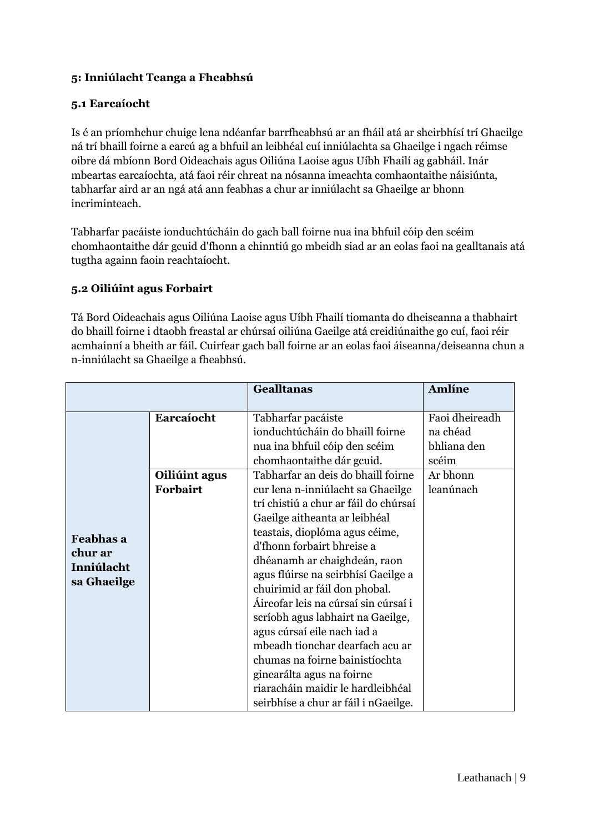### <span id="page-8-0"></span>**5: Inniúlacht Teanga a Fheabhsú**

#### <span id="page-8-1"></span>**5.1 Earcaíocht**

Is é an príomhchur chuige lena ndéanfar barrfheabhsú ar an fháil atá ar sheirbhísí trí Ghaeilge ná trí bhaill foirne a earcú ag a bhfuil an leibhéal cuí inniúlachta sa Ghaeilge i ngach réimse oibre dá mbíonn Bord Oideachais agus Oiliúna Laoise agus Uíbh Fhailí ag gabháil. Inár mbeartas earcaíochta, atá faoi réir chreat na nósanna imeachta comhaontaithe náisiúnta, tabharfar aird ar an ngá atá ann feabhas a chur ar inniúlacht sa Ghaeilge ar bhonn incriminteach.

Tabharfar pacáiste ionduchtúcháin do gach ball foirne nua ina bhfuil cóip den scéim chomhaontaithe dár gcuid d'fhonn a chinntiú go mbeidh siad ar an eolas faoi na gealltanais atá tugtha againn faoin reachtaíocht.

#### <span id="page-8-2"></span>**5.2 Oiliúint agus Forbairt**

Tá Bord Oideachais agus Oiliúna Laoise agus Uíbh Fhailí tiomanta do dheiseanna a thabhairt do bhaill foirne i dtaobh freastal ar chúrsaí oiliúna Gaeilge atá creidiúnaithe go cuí, faoi réir acmhainní a bheith ar fáil. Cuirfear gach ball foirne ar an eolas faoi áiseanna/deiseanna chun a n-inniúlacht sa Ghaeilge a fheabhsú.

|             |               | <b>Gealltanas</b>                     | Amlíne         |
|-------------|---------------|---------------------------------------|----------------|
|             |               |                                       |                |
|             | Earcaíocht    | Tabharfar pacáiste                    | Faoi dheireadh |
|             |               | ionduchtúcháin do bhaill foirne       | na chéad       |
|             |               | nua ina bhfuil cóip den scéim         | bhliana den    |
|             |               | chomhaontaithe dár gcuid.             | scéim          |
|             | Oiliúint agus | Tabharfar an deis do bhaill foirne    | Ar bhonn       |
|             | Forbairt      | cur lena n-inniúlacht sa Ghaeilge     | leanúnach      |
|             |               | trí chistiú a chur ar fáil do chúrsaí |                |
|             |               | Gaeilge aitheanta ar leibhéal         |                |
| Feabhas a   |               | teastais, dioplóma agus céime,        |                |
| chur ar     |               | d'fhonn forbairt bhreise a            |                |
| Inniúlacht  |               | dhéanamh ar chaighdeán, raon          |                |
|             |               | agus flúirse na seirbhísí Gaeilge a   |                |
| sa Ghaeilge |               | chuirimid ar fáil don phobal.         |                |
|             |               | Áireofar leis na cúrsaí sin cúrsaí i  |                |
|             |               | scríobh agus labhairt na Gaeilge,     |                |
|             |               | agus cúrsaí eile nach iad a           |                |
|             |               | mbeadh tionchar dearfach acu ar       |                |
|             |               | chumas na foirne bainistíochta        |                |
|             |               | ginearálta agus na foirne             |                |
|             |               | riaracháin maidir le hardleibhéal     |                |
|             |               | seirbhíse a chur ar fáil i nGaeilge.  |                |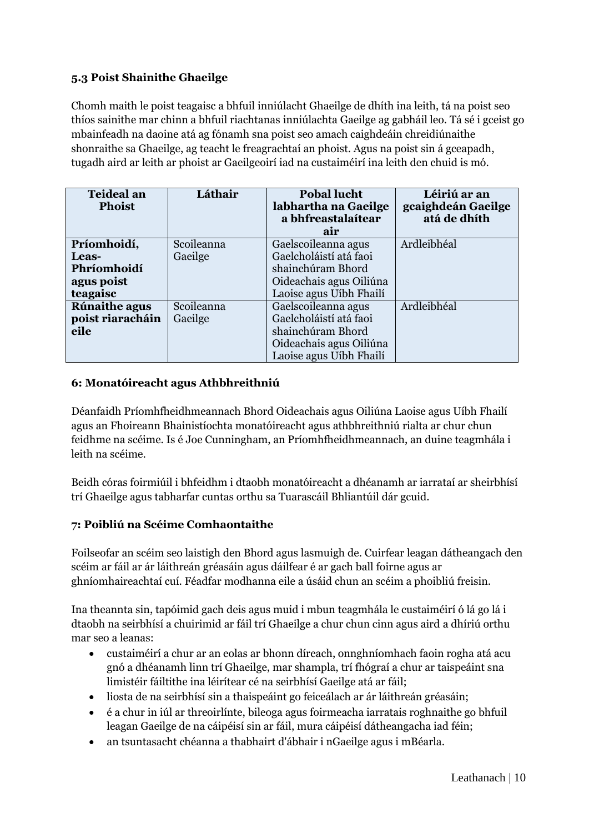# <span id="page-9-0"></span>**5.3 Poist Shainithe Ghaeilge**

Chomh maith le poist teagaisc a bhfuil inniúlacht Ghaeilge de dhíth ina leith, tá na poist seo thíos sainithe mar chinn a bhfuil riachtanas inniúlachta Gaeilge ag gabháil leo. Tá sé i gceist go mbainfeadh na daoine atá ag fónamh sna poist seo amach caighdeáin chreidiúnaithe shonraithe sa Ghaeilge, ag teacht le freagrachtaí an phoist. Agus na poist sin á gceapadh, tugadh aird ar leith ar phoist ar Gaeilgeoirí iad na custaiméirí ina leith den chuid is mó.

| <b>Teideal an</b><br><b>Phoist</b> | Láthair    | <b>Pobal lucht</b><br>labhartha na Gaeilge<br>a bhfreastalaítear<br>air | Léiriú ar an<br>gcaighdeán Gaeilge<br>atá de dhíth |
|------------------------------------|------------|-------------------------------------------------------------------------|----------------------------------------------------|
| Príomhoidí,                        | Scoileanna | Gaelscoileanna agus                                                     | Ardleibhéal                                        |
| Leas-                              | Gaeilge    | Gaelcholáistí atá faoi                                                  |                                                    |
| Phríomhoidí                        |            | shainchúram Bhord                                                       |                                                    |
| agus poist                         |            | Oideachais agus Oiliúna                                                 |                                                    |
| teagaisc                           |            | Laoise agus Uíbh Fhailí                                                 |                                                    |
| <b>Rúnaithe agus</b>               | Scoileanna | Gaelscoileanna agus                                                     | Ardleibhéal                                        |
| poist riaracháin                   | Gaeilge    | Gaelcholáistí atá faoi                                                  |                                                    |
| eile                               |            | shainchúram Bhord                                                       |                                                    |
|                                    |            | Oideachais agus Oiliúna                                                 |                                                    |
|                                    |            | Laoise agus Uíbh Fhailí                                                 |                                                    |

#### <span id="page-9-1"></span>**6: Monatóireacht agus Athbhreithniú**

Déanfaidh Príomhfheidhmeannach Bhord Oideachais agus Oiliúna Laoise agus Uíbh Fhailí agus an Fhoireann Bhainistíochta monatóireacht agus athbhreithniú rialta ar chur chun feidhme na scéime. Is é Joe Cunningham, an Príomhfheidhmeannach, an duine teagmhála i leith na scéime.

Beidh córas foirmiúil i bhfeidhm i dtaobh monatóireacht a dhéanamh ar iarrataí ar sheirbhísí trí Ghaeilge agus tabharfar cuntas orthu sa Tuarascáil Bhliantúil dár gcuid.

#### <span id="page-9-2"></span>**7: Poibliú na Scéime Comhaontaithe**

Foilseofar an scéim seo laistigh den Bhord agus lasmuigh de. Cuirfear leagan dátheangach den scéim ar fáil ar ár láithreán gréasáin agus dáilfear é ar gach ball foirne agus ar ghníomhaireachtaí cuí. Féadfar modhanna eile a úsáid chun an scéim a phoibliú freisin.

Ina theannta sin, tapóimid gach deis agus muid i mbun teagmhála le custaiméirí ó lá go lá i dtaobh na seirbhísí a chuirimid ar fáil trí Ghaeilge a chur chun cinn agus aird a dhíriú orthu mar seo a leanas:

- custaiméirí a chur ar an eolas ar bhonn díreach, onnghníomhach faoin rogha atá acu gnó a dhéanamh linn trí Ghaeilge, mar shampla, trí fhógraí a chur ar taispeáint sna limistéir fáiltithe ina léirítear cé na seirbhísí Gaeilge atá ar fáil;
- liosta de na seirbhísí sin a thaispeáint go feiceálach ar ár láithreán gréasáin;
- é a chur in iúl ar threoirlínte, bileoga agus foirmeacha iarratais roghnaithe go bhfuil leagan Gaeilge de na cáipéisí sin ar fáil, mura cáipéisí dátheangacha iad féin;
- an tsuntasacht chéanna a thabhairt d'ábhair i nGaeilge agus i mBéarla.